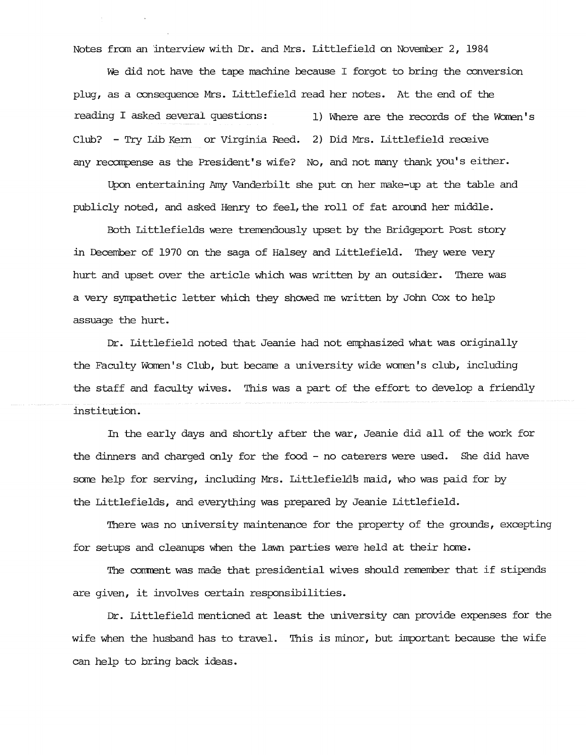Notes from an interview with Dr. and Mrs. Littlefield on November 2, 1984

We did not have the tape machine because I forgot to bring the conversion plug, as a consequence Mrs. Littlefield read her notes. At the end of the reading I asked several questions: 1) Where are the records of the Women's Club? - Try Lib Kem or Virginia Reed. 2) Did Mrs. Littlefield receive any recompense as the President's wife? No, and not many thank you's either.

Upon entertaining Amy Vanderbilt she put on her make-up at the table and publicly noted, and asked Henry to feel, the roll of fat around her middle.

Both Littlefields were trerrendously upset by the Bridgeport Post story in Iecember of 1970 on the saga of Halsey and Littlefield. They were very hurt and upset over the article which was written by an outsider. There was a very sympathetic letter which they showed me written by John Cox to help assuage the hurt.

Dr. Littlefield noted that Jeanie had not emphasized what was originally the Faculty Women's Club, but became a university wide women's club, including the staff and faculty wives. This was a part of the effort to develop a friendly institution.

In the early days and shortly after the war, Jeanie did all of the work for the dinners and charged only for the food - no caterers were used. She did have some help for serving, including Mrs. Littlefield's maid, who was paid for by the Littlefields, and everything was prepared by Jeanie Littlefield.

There was no university maintenance for the property of the grounds, excepting for setups and cleanups when the lawn parties were held at their home.

The comment was made that presidential wives should remember that if stipends are given, it involves certain responsibilities.

Dr. Littlefield mentioned at least the university can provide expenses for the wife when the husband has to travel. This is minor, but important because the wife can help to bring back ideas.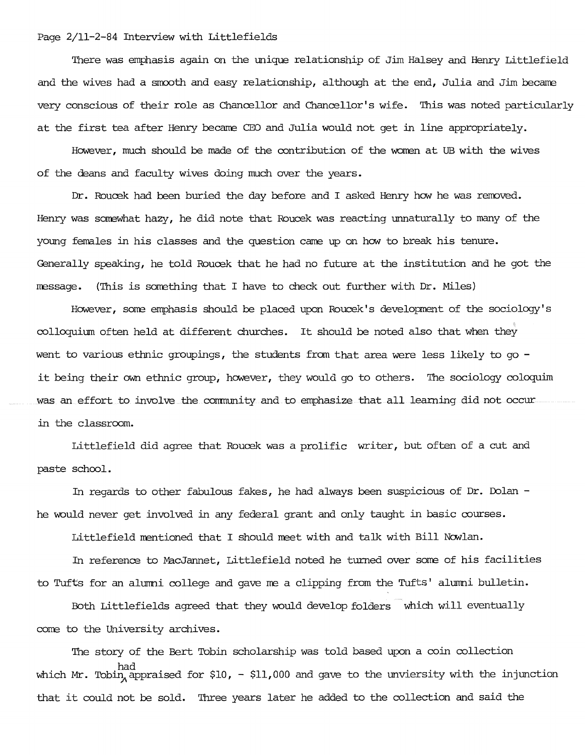#### Page 2/11-2-84 Interview with Littlefields

'Ihere was emphasis again on the unique relationship of Jim Halsey and Henry Littlefield and the wives had a smooth and easy relationship, although at the end, Julia and Jim became very conscious of their role as Chancellor and Chancellor's wife. 'Ihis was noted particularly at the first tea after Henry became CEO and Julia would not get in line appropriately.

However, much should be made of the contribution of the women at UB with the wives of the deans and faculty wives doing much over the years.

Dr. *Roucek* had been buried the day before and I asked Henry how he was removed Henry was somewhat hazy, he did note that *Roucek* was reacting unnaturally to many of the young females in his classes and the question came up on how to break his tenure. Generally speaking, he told *Roucek* that he had no future at the institution and he got the  $message.$  (This is something that I have to check out further with Dr. Miles)

However, some emphasis should be placed upon Roucek's development of the sociology's colloquium often held at different churches. It should be noted also that when they went to various ethnic groupings, the students from that area were less likely to go it being their own ethnic group, however, they would go to others. The sociology coloquim was an effort to involve the conmunity and to emphasize that all learning did not occur in the classroom.

Littlefield did agree that *Roucek* was a prolific writer, but often of a cut and paste school.

In regards to other fabulous fakes, he had always been suspicious of Dr. Dolan he would never get involved in any federal grant and only taught in basic courses.

Littlefield mentioned that I should meet with and talk with Bill Nowlan.

In reference to MacJannet, Littlefield noted he turned over some of his facilities to Tufts for an alumni college and gave me a clipping from the Tufts' alumni bulletin.

Both Littlefields agreed that they would develop folders which will eventually come to the University archives.

'Ihe story of the Bert Tobin scholarship was told based upon a coin collection which Mr. Tobin, appraised for \$10, - \$11,000 and gave to the unviersity with the injunction that it could not be sold. 'Ihree years later he added to the collection and said the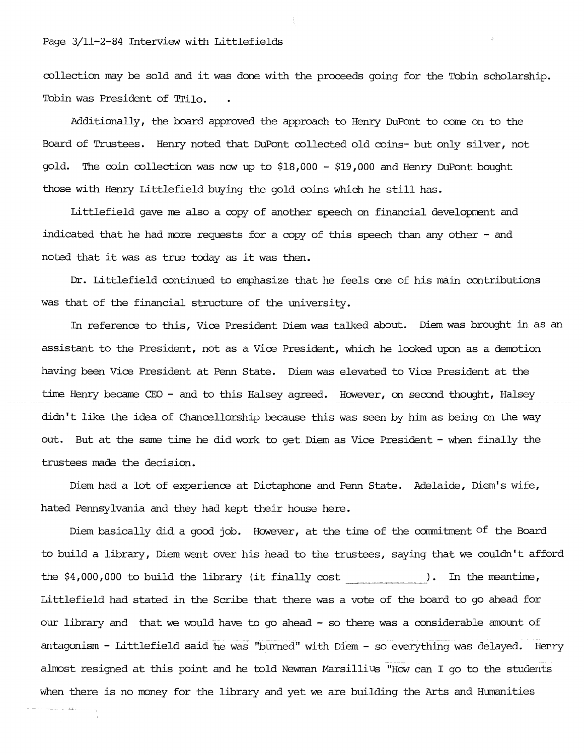## Page 3/11-2-84 Interview with Littlefields

collection may be sold and it was done with the proceeds going for the Tobin scholarship. Tobin was President of Trilo.

Additionally, the board approved the approach to Henry DuPont to come on to the Board of Trustees. Henry noted that DuPont collected old coins- but only silver, not gold. The coin collection was now up to \$18,000 - \$19,000 and Henry DuPont bought those with Henry Littlefield buying the gold coins which he still has.

Littlefield gave me also a copy of another speech on financial development and indicated that he had more requests for a copy of this speech than any other - and noted that it was as true today as it was then.

Dr. Littlefield continued to emphasize that he feels one of his main contributions was that of the financial structure of the university.

In reference to this, Vice President Diem was talked about. Diem was brought in as an assistant to the President, not as a Vice President, which he looked upon as a demotion having been Vice President at Penn State. Diem was elevated to Vice President at the time Henry became CEO - and to this Halsey agreed. However, on second thought, Halsey didn't like the idea of Chancellorship because this was seen by him as being on the way out. But at the same time he did work to get Diem as Vice President - when finally the trustees made the decision.

Diem had a lot of experience at Dictaphone and Penn State. Adelaide, Diem's wife, hated Pennsylvania and they had kept their house here.

Diem basically did a good job. However, at the time of the commitment of the Board to build a library, Diem went over his head to the trustees, saying that we couldn't afford the \$4,000,000 to build the library (it finally cost ). In the meantime, Littlefield had stated in the Scribe that there was a vote of the board to go ahead for our library and that we would have to go ahead - so there was a considerable amount of antagonism - Littlefield said he was "burned" with Diem - so everything was delayed. Henry almost resigned at this point and he told Newman Marsillius "How can I go to the students when there is no money for the library and yet we are building the Arts and Humanities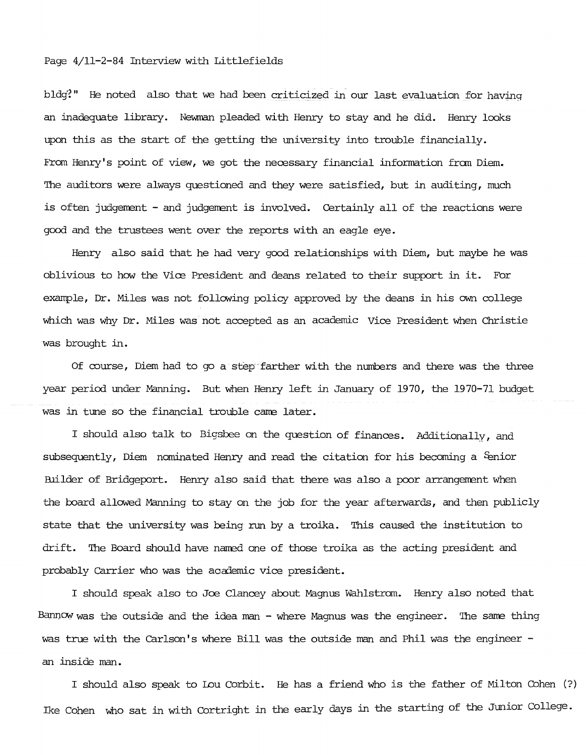## Page 4/11-2-84 Interview with Littlefields

bldg?" He noted also that we had been criticized in our last evaluation for having an inadequate library. Newman pleaded with Henry to stay and he did. Henry looks upon this as the start of the getting the university into trouble financially. From Henry's point of view, we got the necessary financial information from Diem. 'Ihe auditors were always questioned and they were satisfied, but in auditing, much is often judgement - and judgement is involved. Certainly all of the reactions were good and the trustees went over the reports with an eagle eye.

Henry also said that he had very good relationships with Diem, but maybe he was oblivious to how the Vice President and deans related to their support in it. For example, Dr. Miles was not following policy approved by the deans in his own college which was why Dr. Miles was not accepted as an academic Vice President when Christie was brought in.

Of course, Diem had to go a step farther with the numbers and there was the three year period under Manning. But when Henry left in January of 1970, the 1970-71 budget was in tune so the financial trouble cane later.

I should also talk to Bigsbee on the question of finances. Additionally, and subsequently, Diem nominated Henry and read the citation for his becoming a & mior Builder of Bridgeport. Henry also said that there was also a poor arrangement when the board allowed Manning to stay on the job for the year afterwards, and then publicly state that the university was being run by a troika. This caused the institution to drift. 'Ihe Board should have naned one of those troika as the acting president and probably carrier who was the academic vice president.

I should speak also to Joe Clancey about Magnus Wahlstrom. Henry also noted that Bannow was the outside and the idea man - where Magnus was the engineer. The same thing was true with the carlson's where Bill was the outside man and Phil was the engineer an inside man.

I should also speak to Lou Corbit. He has a friend who is the father of Milton Cohen (?) Ike Cohen who sat in with Cortright in the early days in the starting of the Junior College.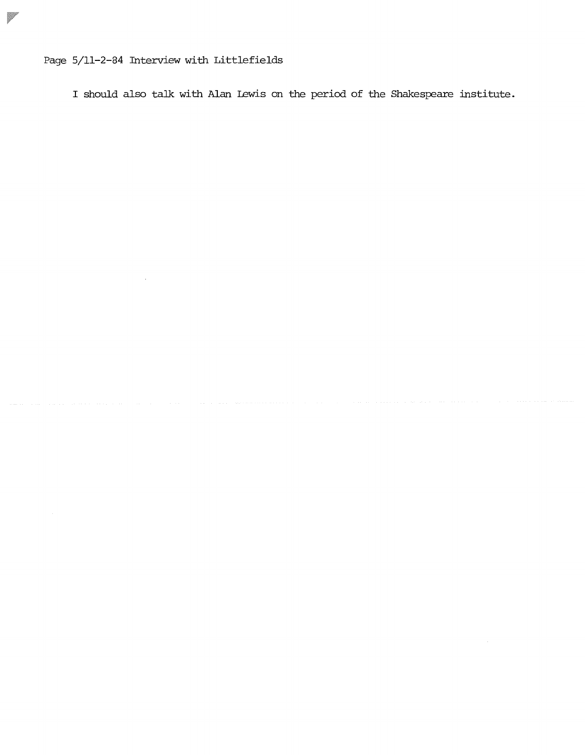Page 5/11-2-84 Interview with Littlefields

Ø

I should also tall: with Alan Lewis on the period of the Shakespeare institute.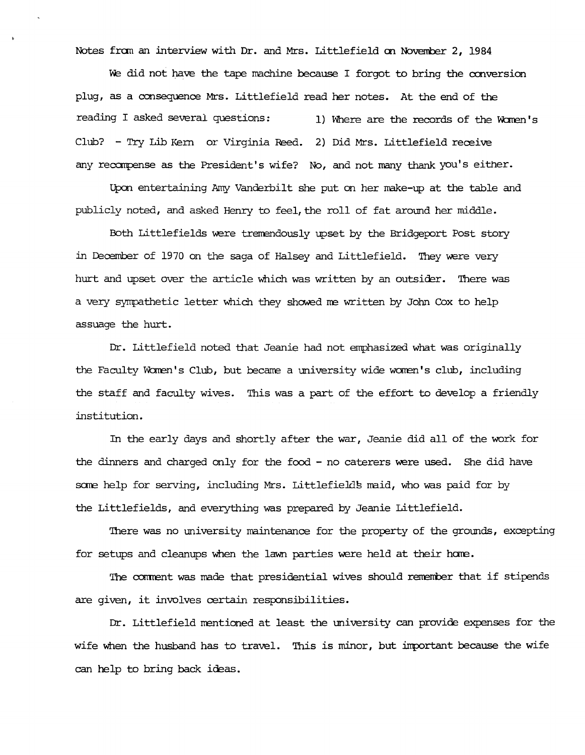Notes from an interview with Dr. and Mrs. Littlefield on November 2, 1984

We did not have the tape machine because I forgot to bring the conversion plug, as a consequence Mrs. Littlefield read her notes. At the end of the reading I asked several questions: 1) Where are the records of the Women's Club? - Try Lib Kern or Virginia Reed. 2) Did Mrs. Littlefield receive any recompense as the President's wife? No, and not many thank  $you's$  either.

Upon entertaining Amy Vanderbilt she put on her make-up at the table and publicly noted, and asked Henry to feel, the roll of fat around her middle.

Both Littlefields were tremendously upset by the Bridgeport Post story in December of 1970 on the saga of Halsey and Littlefield. They were very hurt and upset over the article which was written by an outsider. There was a very sympathetic letter which they showed me written by John Cox to help assuage the hurt.

Dr. Littlefield noted that Jeanie had not emphasized what was originally the Faculty Women's Club, but became a university wide women's club, including the staff and faculty wives. This was a part of the effort to develop a friendly institution.

In the early days and shortly after the war, Jeanie did all of the work for the dinners and charged only for the food - no caterers were used. She did have some help for serving, including Mrs. Littlefield's maid, who was paid for by the Littlefields, and everything was prepared by Jeanie Littlefield.

There was no university maintenance for the property of the grounds, excepting for setups and cleanups when the lawn parties were held at their home.

The comment was made that presidential wives should remember that if stipends are given, it involves certain responsibilities.

Dr. Littlefield mentioned at least the university can provide expenses for the wife when the husband has to travel. This is minor, but important because the wife can help to bring back ideas.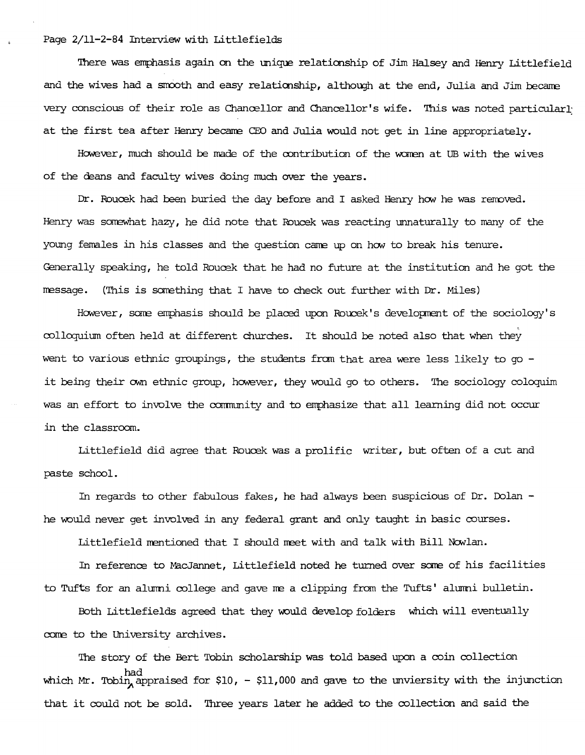Page 2/11-2-84 Interview with Littlefields

1here was emphasis again on the mique relationship of Jim Halsey and Henry Littlefield and the wives had a smooth and easy relationship, although at the end, Julia and Jim became very conscious of their role as Chancellor and Chancellor's wife. This was noted particularly at the first tea after Henry became CEO and Julia would not get in line appropriately.

However, much should be made of the oontribution of the women at UB with the wives of the deans and faculty wives doing much over the years.

Dr. *Rourek* had been buried the day before and I asked Henry how he was removed Henry was somewhat hazy, he did note that *Roucek* was reacting unnaturallyto many of the young females in his classes and the question came up on how to break his tenure. Generally speaking, he told Roucek that he had no future at the institution and he got the message. (This is something that I have to check out further with Dr. Miles)

However, same emphasis should be placed upon Roucek's developnent of the sociology's colloquium often held at different churches. It should be noted also that when they went to various ethnic groupings, the students from that area were less likely to go it being their own ethnic group, however, they would go to others. The sociology coloquim was an effort to involve the community and to emphasize that all learning did not occur in the classroom.

Littlefield did agree that Roucek was a prolific writer, but often of a cut and paste school.

In regards to other fabulous fakes, he had always been suspicious of Dr. Dolan he would never get involved in any federal grant and only taught in basic courses.

Littlefield mentioned that I should meetwith and talk with Bill Nowlan.

In reference to MacJannet, Littlefield noted he turned over some of his facilities to Tufts for an alumni college and gave me a clipping from the Tufts' alumni bulletin.

Both Littlefields agreed that they would develop folders which will eventually come to the University archives.

The story of the Bert Tobin scholarship was told based upon a coin collection which Mr. Tobin, appraised for  $$10, - $11,000$  and gave to the unviersity with the injunction that it could not be sold. Three years later he added to the collection and said the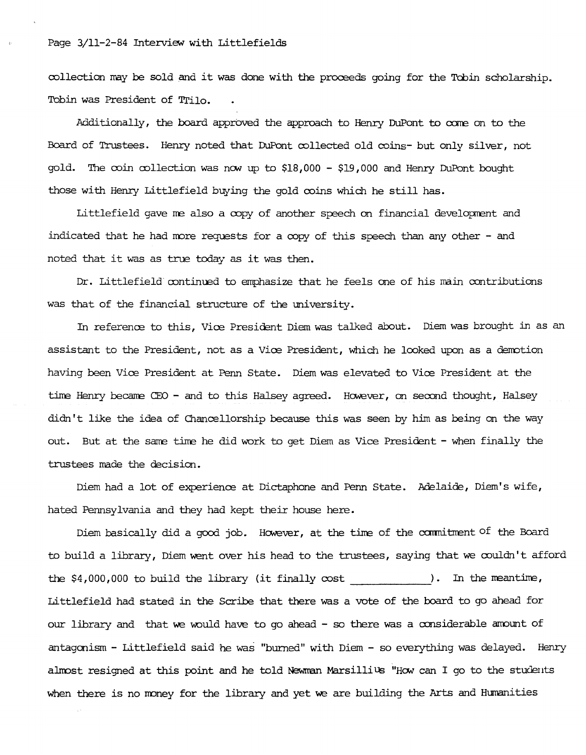### Page 3/11-2-84 Interview with Littlefields

rollection may be solq and it was done with the proceeds going for the Tabin scholarship. 'Ibbin was President of Trilo.

Additionally, the board approved the approach to Henry DuPont to come on to the Board of Trustees. Henry noted that DuPont collected old coins- but only silver, not gold. The roin rollection was nav up to \$18,000 - \$19,000 and Henry DuPont bought those with Henry Littlefield buying the gold coins which he still has.

Littlefield gave me also a copy of another speech on financial development and indicated that he had more requests for a copy of this speech than any other - and noted that it was as true today as it was then.

Dr. Littlefield continued to emphasize that he feels one of his main contributions was that of the financial structure of the university.

In reference to this, Vice President Diem was talked about. Diem was brought in as an assistant to the President, not as a Vice President, which he looked upon as a denotion having been Vire President at Penn State. Diem was elevated to Vire President at the time Henry became CEO - and to this Halsey agreed. However, on second thought, Halsey didn't like the idea of Chancellorship because this was seen by him as being on the way out. But at the same time he did work to get Diem as Vice President - when finally the trustees made the decision.

Diem had a lot of experience at Dictaphone and Penn State. Adelaide, Diem's wife, hated Pennsylvania and they had kept their house here.

Diem basically did a good job. However, at the time of the commitment of the Board to build a library, Diem went over his head to the trustees, saying that we couldn't afford the  $$4,000,000$  to build the library (it finally cost ). In the meantime, Littlefield had stated in the Scribe that there was a vote of the board to go ahead for our library and that we would have to go ahead - so there was a considerable amount of antagonism - Littlefield said he was "burned" with Diem - so everything was delayed. Henry almost resigned at this point and he told Newman Marsillius "How can I go to the students when there is no money for the library and yet we are building the Arts and Humanities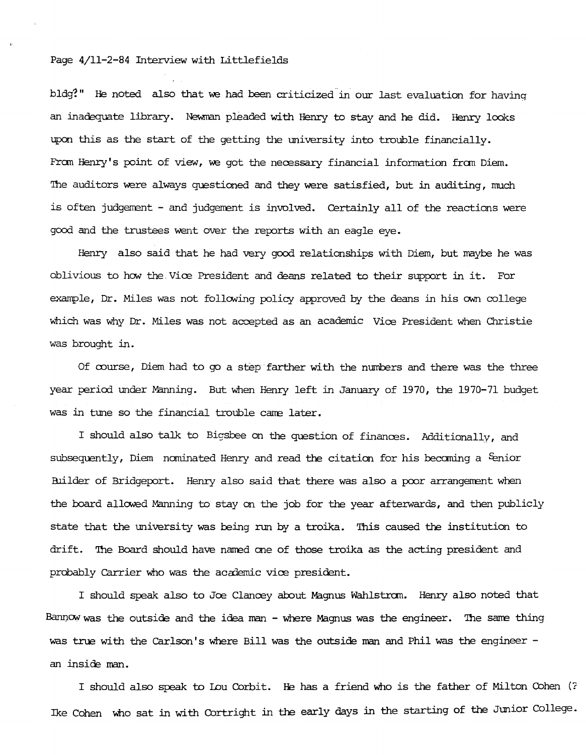## Page 4/11-2-84 Interview with Littlefields

bldg?" He noted also that we had been criticized in our last evaluation for having an inadequate library. Newman pleaded with Henry to stay and he did. Henry looks upon this as the start of the getting the university into trouble financially. From Henry's point of view, we got the necessary financial information from Diem. The auditors were always questioned and they were satisfied, but in auditing, much is often judgement - and judgement is involved. Certainly all of the reactions were good and the trustees went over the reports with an eagle eye.

Henry also said that he had very good relationships with Diem, but maybe he was oblivious to how the. Vice President and deans related to their support in it. For example, Dr. Miles was not following policy approved by the deans in his own college which was why Dr. Miles was not accepted as an academic Vice President when Christie was brought in.

Of oourse, Diem had to go a step farther with the numbers and there was the three year period under Manning. But when Henry left in January of 1970, the 1970-71 budget was in tune so the financial trouble came later.

I should also talk to Bigsbee on the question of finances. Additionally, and subsequently, Diem nominated Henry and read the citation for his becoming a Eenior Builder of Bridgeport. Henry also said that there was also a poor arrangement when the board allowed Manning to stay on the job for the year afterwards, and then publicly state that the university was being run by a troika. This caused the institution to drift. 'Ihe Board should have named one of those troika as the acting president and probably Carrier who was the academic vice president.

I should speak also to Joe Clancey about Magnus Wahlstrom. Henry also noted that Bannowwas the outside and the idea man - where Magnus was the engineer. 'Ihe same thing was true with the Carlson's where Bill was the outside man and Phil was the engineer an inside man.

I should also speak to Lou Corbit. He has a friend who is the father of Milton Cohen (? Ike Cohen who sat in with Cortright in the early days in the starting of the Junior College.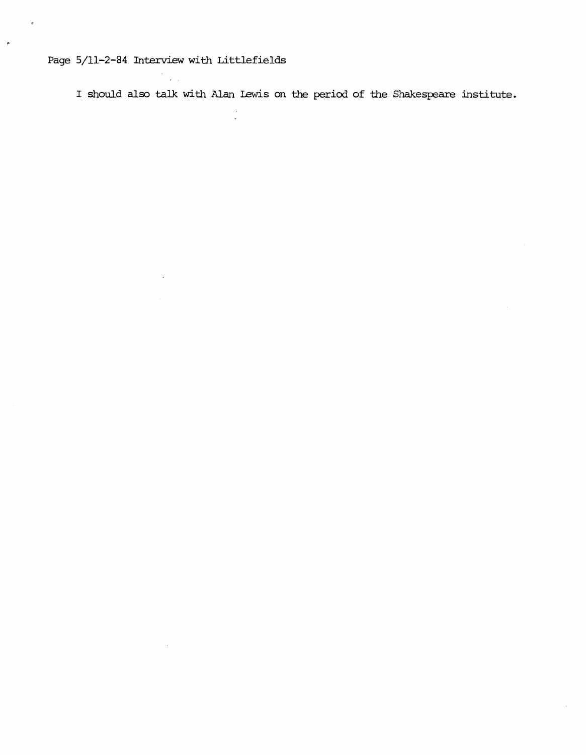## Page 5/11-2-84 Interview with Littlefields

¢

I should also talk with Alan Iewis on the period of the Shakespeare institute.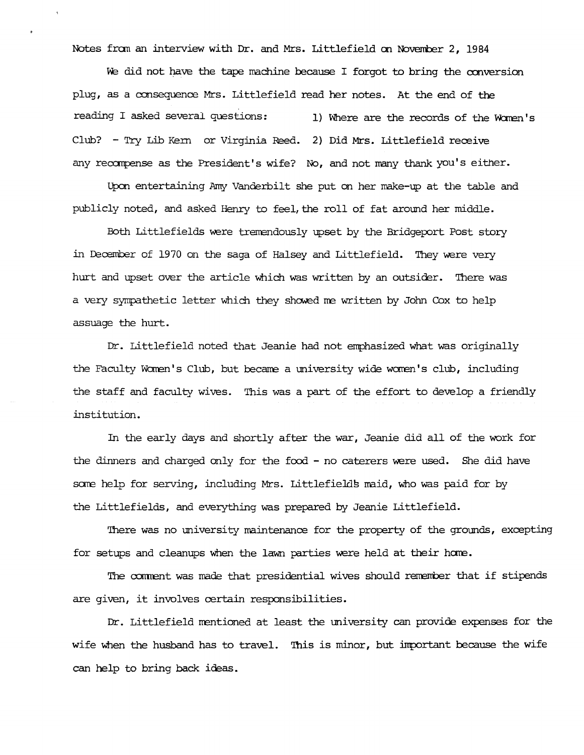Notes fran an interview with Dr. and Mrs. Littlefield en Noverrber 2, 1984

We did not have the tape machine because I forgot to bring the conversion plug, as a consequence Mrs. Littlefield read her notes. At the end of the reading I asked several questions: 1) Where are the records of the Women's Club? - Try Lib Kem or Virginia Reed. 2) Did Mrs. Littlefield receive any recompense as the President's wife? No, and not many thank you's either.

Upon entertaining Arny Vanderbilt she put en her make-up at the table and publicly noted, and asked Henry to feel, the roll of fat around her middle.

Both Littlefields were tremendously upset by the Bridgeport Post story in December of 1970 on the saga of Halsey and Littlefield. They were very hurt and upset over the article which was written by an outsider. There was a very sympathetic letter which they showed me written by John Cox to help assuage the hurt.

Dr. Littlefield noted that Jeanie had not emphasized what was originally the Faculty Women's Club, but became a university wide women's club, including the staff and faculty wives. This was a part of the effort to develop a friendly institution.

In the early days and shortly after the war, Jeanie did all of the work for the dinners and charged only for the food - no caterers were used. She did have some help for serving, including Mrs. Littlefields maid, who was paid for by the Littlefields, and everything was prepared by Jeanie Littlefield.

There was no university maintenance for the property of the grounds, excepting for setups and cleanups when the lawn parties were held at their home.

The comment was made that presidential wives should remember that if stipends are given, it involves certain responsibilities.

Dr. Littlefield mentioned at least the university can provide expenses for the wife when the husband has to travel. This is minor, but inportant because the wife can help to bring back ideas.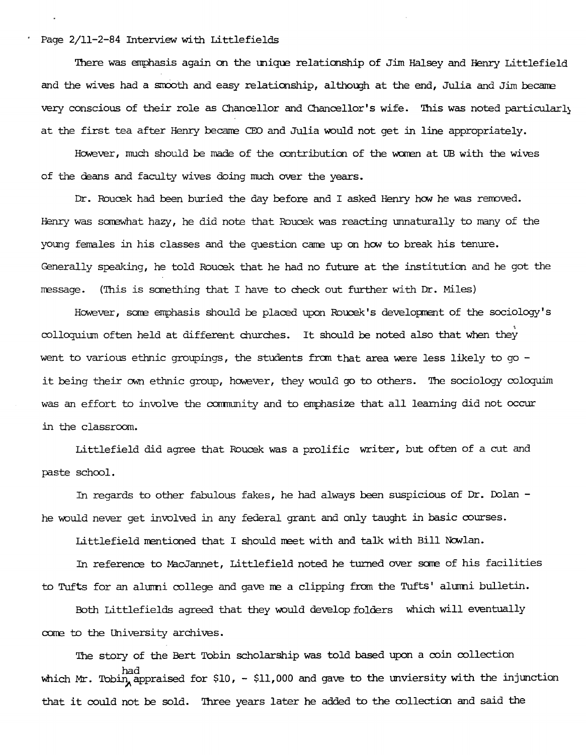Page 2/11-2-84 Interview with Littlefields

'!here was emphasis again on the unique relationship of Jim Halsey and Henry Littlefield and the wives had a smooth and easy relationship, although at the end, Julia and Jim became very conscious of their role as Chancellor and Chancellor's wife. '!his was noted particularly at the first tea after Henry became CEO and Julia would not get in line appropriately.

However, much should be made of the contributionof the women at UB with the wives of the deans and faculty wives doing much over the years.

Dr. Roucek had been buried the day before and I asked Henry how he was removed Henry was sarewhat hazy, he did note that Roucek was reacting unnaturally to many of the young females in his classes and the question came up on how to break his tenure. Generally speaking, he told Roucek that he had no future at the institution and he got the message. (This is something that I have to check out further with Dr. Miles)

However, some emphasis should be placed upon Roucek's development of the sociology's colloquium often held at different churches. It should be noted also that when they went to various ethnic groupings, the students from that area were less likely to go  $$ it being their own ethnic group, however, they would go to others. The sociology coloquim was an effort to involve the community and to emphasize that all learning did not occur in the classroom.

Littlefield did agree that Roucek was a prolific writer, but often of a cut and paste school.

In regards to other fabulous fakes, he had always been suspicious of Dr. Dolan he would never get involved in any federal grant and only taught in basic courses.

Littlefield mentioned that I should meet with and talk with Bill Nowlan.

In reference to MacJannet, Littlefield noted he turned over sare of his facilities to Tufts for an alumni college and gave me a clipping from the Tufts' alumni bulletin.

Both Littlefields agreed that they would develop folders which will eventually come to the University archives.

The story of the Bert Tobin scholarship was told based upon a coin collection which Mr. Tobin appraised for  $$10, - $11,000$  and gave to the unviersity with the injunction that it could not be sold. Three years later he added to the collection and said the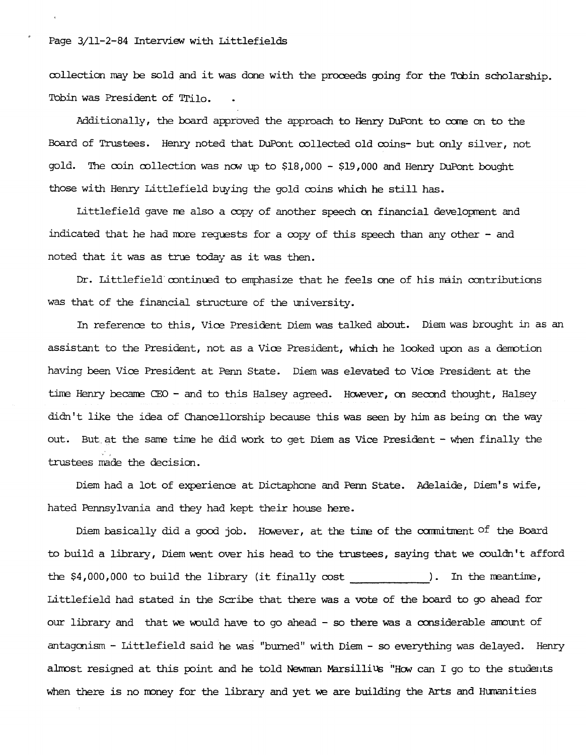collection may be sold and it was done with the proceeds going for the Tobin scholarship. Tobin was President of Trilo.

Additionally, the board approved the approach to Henry DuPont to come on to the Board of Trustees. Henry noted that DuPont collected old coins- but only silver, not gold. The coin collection was now up to \$18,000 - \$19,000 and Henry DuPont bought those with Henry Littlefield buying the gold coins which he still has.

Littlefield gave me also a copy of another speech on financial development and indicated that he had more requests for a copy of this speech than any other - and noted that it was as true today as it was then.

Dr. Littlefield continued to emphasize that he feels one of his main contributions was that of the financial structure of the university.

In reference to this, Vice President Diem was talked about. Diem was brought in as an assistant to the President, not as a Vice President, which he looked upon as a derrotion having been Vice President at Penn State. Diem was elevated to Vice President at the time Henry became CEO - and to this Halsey agreed. However, on second thought, Halsey didn't like the idea of Chancellorship because this was seen by him as being on the way out. But at the same time he did work to get Diem as Vice President - when finally the trustees made the decision.

Diem had a lot of experience at Dictaphone and Penn State. Adelaide, Diem's wife, hated Pennsylvania and they had kept their house here.

Diem basically did a good job. However, at the time of the commitment  $\circ$  the Board to build a library, Diem went over his head to the trustees, saying that we couldn't afford the  $$4,000,000$  to build the library (it finally cost ). In the meantime, Littlefield had stated in the Scribe that there was a vote of the board to go ahead for our library and that we would have to go ahead - so there was a considerable anount of antagonism - Littlefield said he was "burned" with Diem - so everything was delayed. Henry almost resigned at this point and he told Newman Marsillius "How can I go to the students when there is no money for the library and yet we are building the Arts and Humanities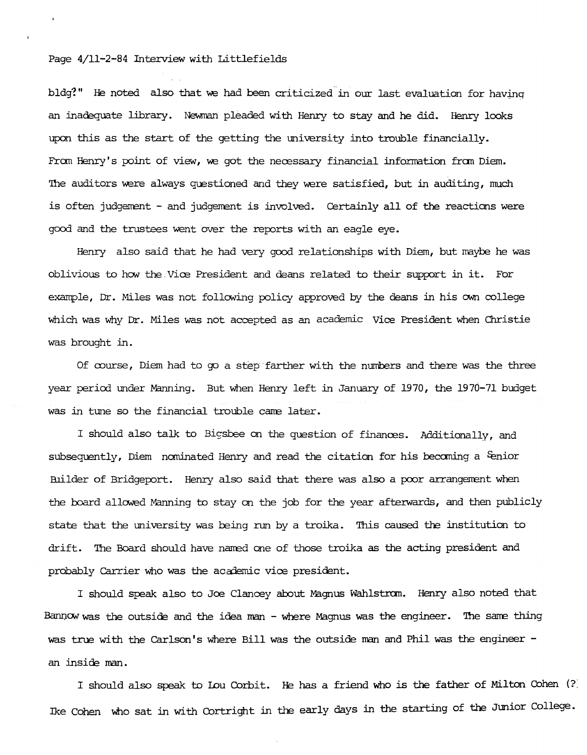## Page 4/11-2-84 Interview with Littlefields

bldg?" He noted also that we had been criticized in our last evaluation for having an inadequate library. Newman pleaded with Henry to stay and he did. Henry looks upcn this as the start of the getting the university into trouble financially. From Henry's point of view, we got the necessary financial information from Diem. The auditors were always questioned and they were satisfied, but in auditing, much is often judgement - and judgement is involved. Certainly all of the reactions were good and the trustees went over the reports with an eagle eye.

Henry also said that he had very good relationships with Diem, but maybe he was oblivious to how the.Vice President and deans related to their support in it. Fbr example, Dr. Miles was not following policy approved by the deans in his own college which was why Dr. Miles was not accepted as an academic Vice President when Christie was brought in.

Of course, Diem had to go a step·farther with the numbers and there was the three year period under Manning. But when Henry left in January of 1970, the 1970-71 budget was in tune so the financial trouble cane later.

I should also talk to Bigsbee on the question of finances. Additionally, and subsequently, Diem nominated Henry and read the citation for his becoming a Senior Builder of Bridgeport. Henry also said that there was also a poor arrangement when the board allowed Manning to stay on the job for the year afterwards, and then publicly state that the university was being run by a troika. This caused the institution to drift. The Board should have named one of those troika as the acting president and probably Carrier who was the academic vice president.

I should speak also to Joe Clancey about Magnus Wahlstran. Henry also noted that Bannow was the outside and the idea man - where Magnus was the engineer. The same thing was true with the Carlson's where Bill was the outside man and Phil was the engineer an inside man.

I should also speak to Iou Corbit. He has a friend who is the father of Milton Cohen (?) Ike Cohen who sat in with Cortright in the early days in the starting of the Junior College.